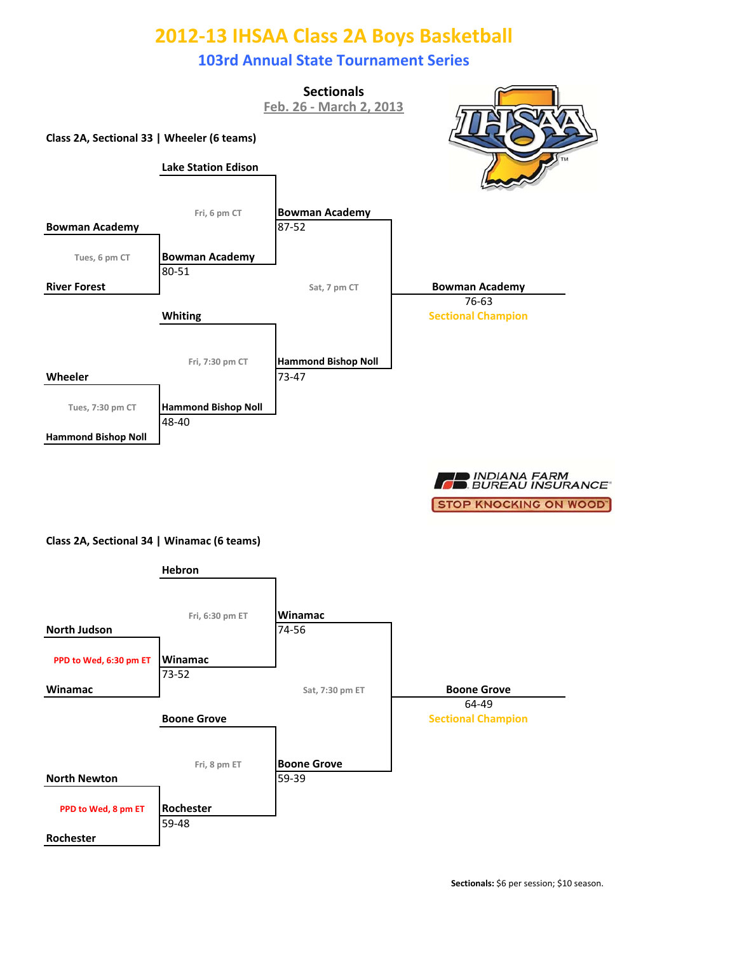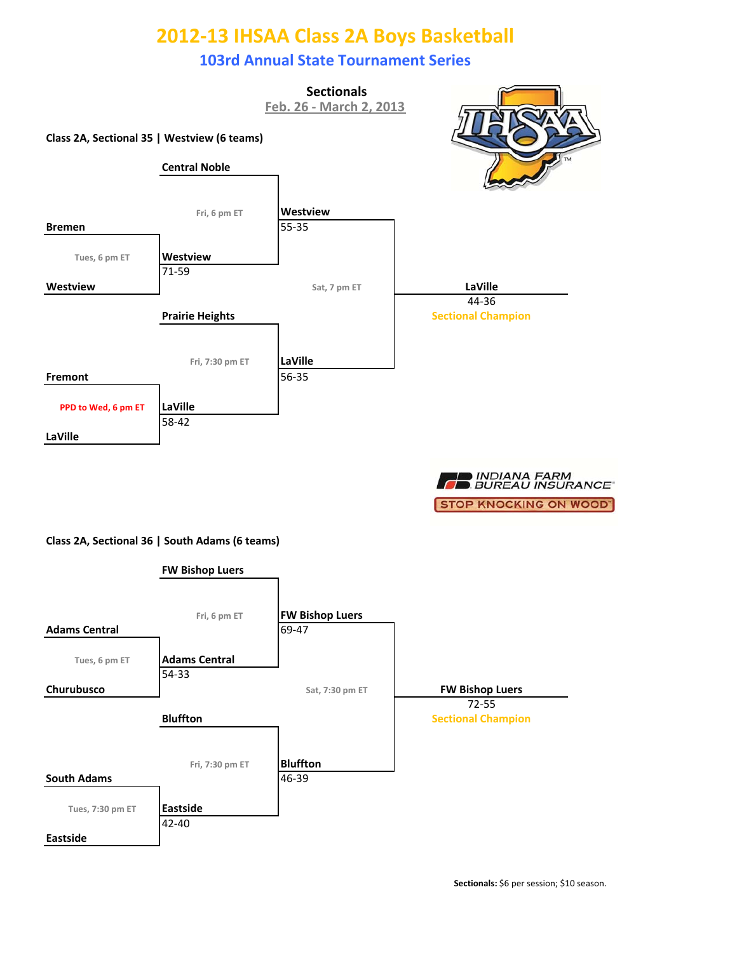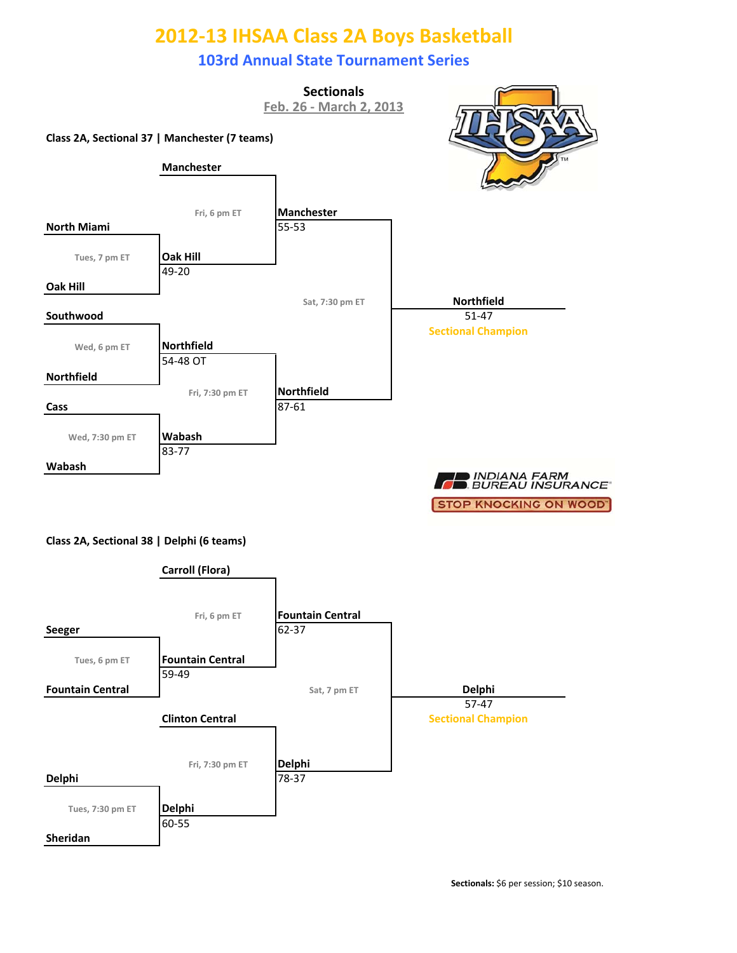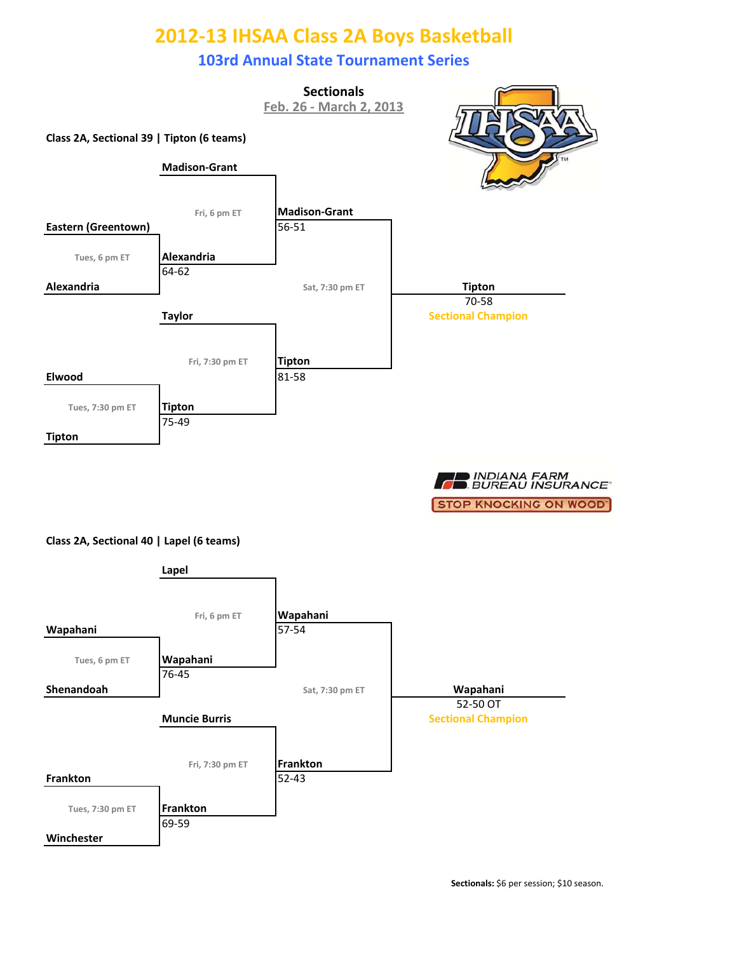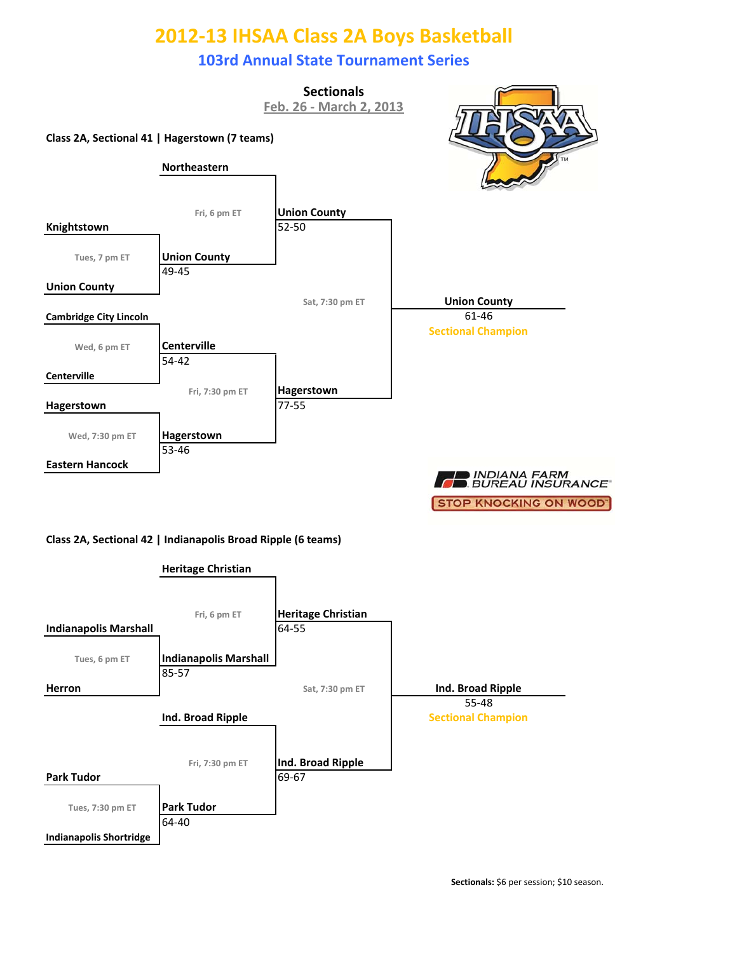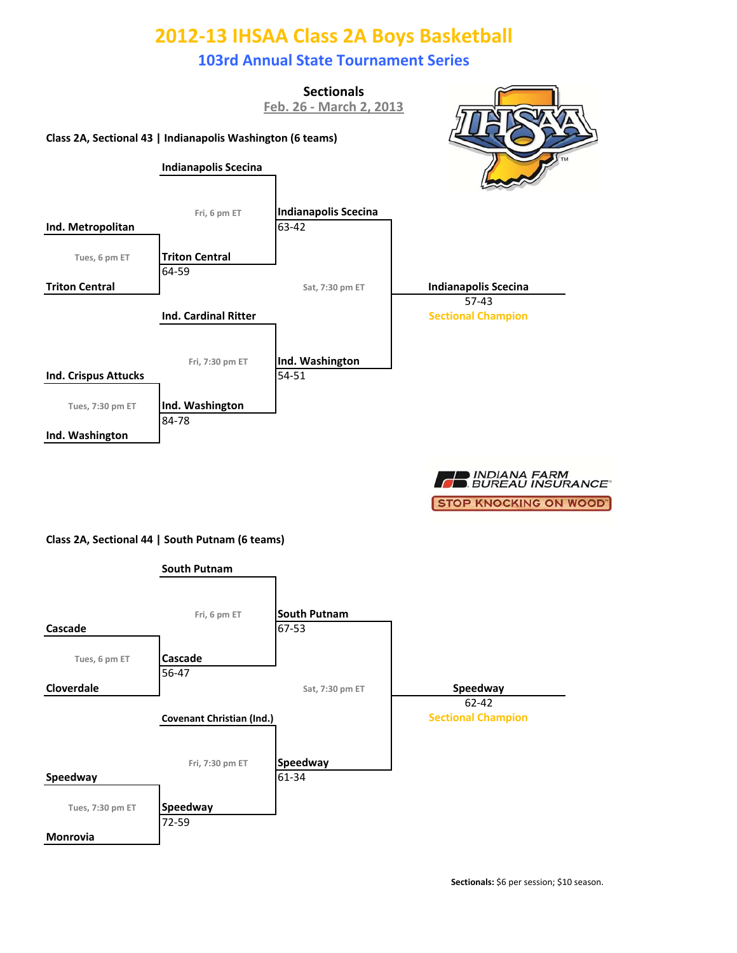

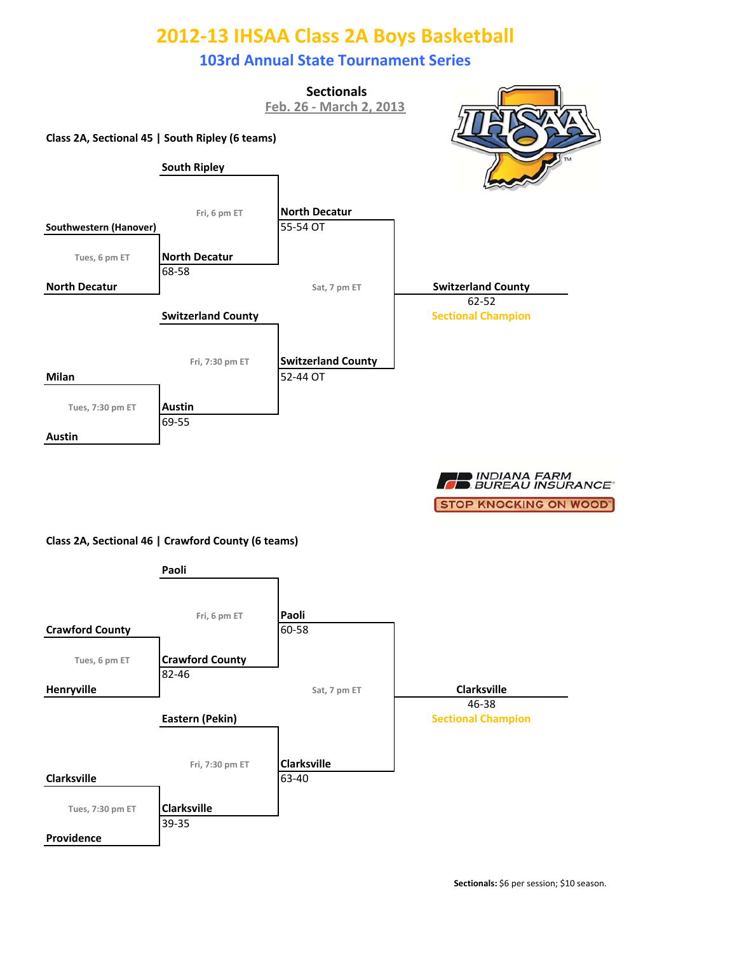